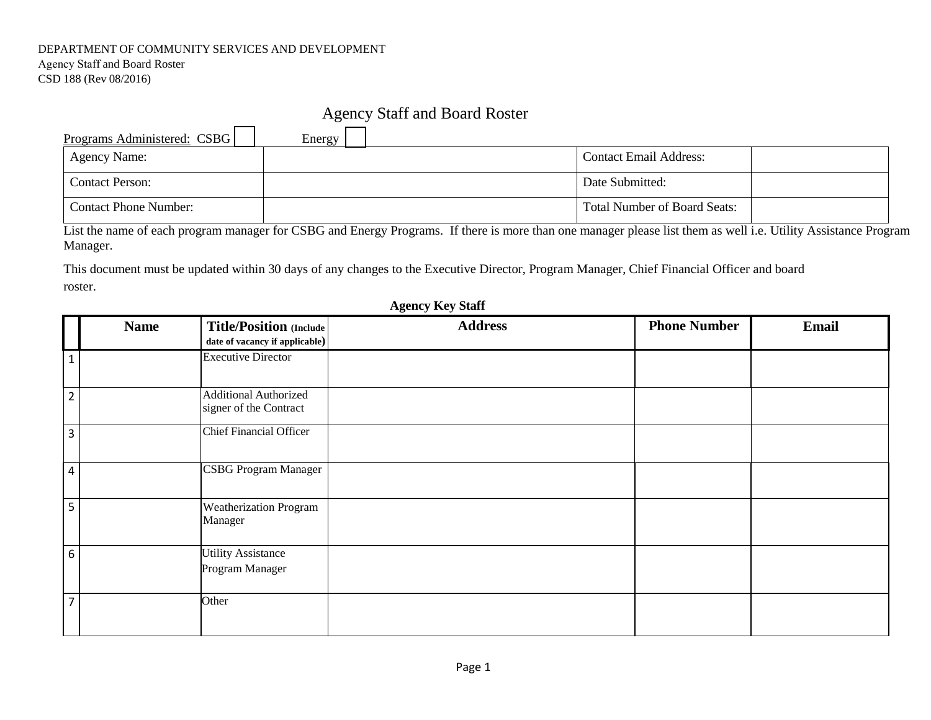### DEPARTMENT OF COMMUNITY SERVICES AND DEVELOPMENT

Agency Staff and Board Roster CSD 188 (Rev 08/2016)

## Agency Staff and Board Roster

| Programs Administered: CSBG | Energy |                                     |
|-----------------------------|--------|-------------------------------------|
| <b>Agency Name:</b>         |        | <b>Contact Email Address:</b>       |
| <b>Contact Person:</b>      |        | Date Submitted:                     |
| Contact Phone Number:       |        | <b>Total Number of Board Seats:</b> |

List the name of each program manager for CSBG and Energy Programs. If there is more than one manager please list them as well i.e. Utility Assistance Program Manager.

This document must be updated within 30 days of any changes to the Executive Director, Program Manager, Chief Financial Officer and board roster.

|                | <b>Name</b> | <b>Title/Position (Include)</b><br>date of vacancy if applicable) | <b>Address</b> | <b>Phone Number</b> | <b>Email</b> |
|----------------|-------------|-------------------------------------------------------------------|----------------|---------------------|--------------|
| $\mathbf{1}$   |             | <b>Executive Director</b>                                         |                |                     |              |
| $\overline{2}$ |             | <b>Additional Authorized</b><br>signer of the Contract            |                |                     |              |
| 3              |             | <b>Chief Financial Officer</b>                                    |                |                     |              |
| $\overline{4}$ |             | <b>CSBG Program Manager</b>                                       |                |                     |              |
| 5              |             | <b>Weatherization Program</b><br>Manager                          |                |                     |              |
| 6              |             | <b>Utility Assistance</b><br>Program Manager                      |                |                     |              |
| $\overline{7}$ |             | Other                                                             |                |                     |              |

## **Agency Key Staff**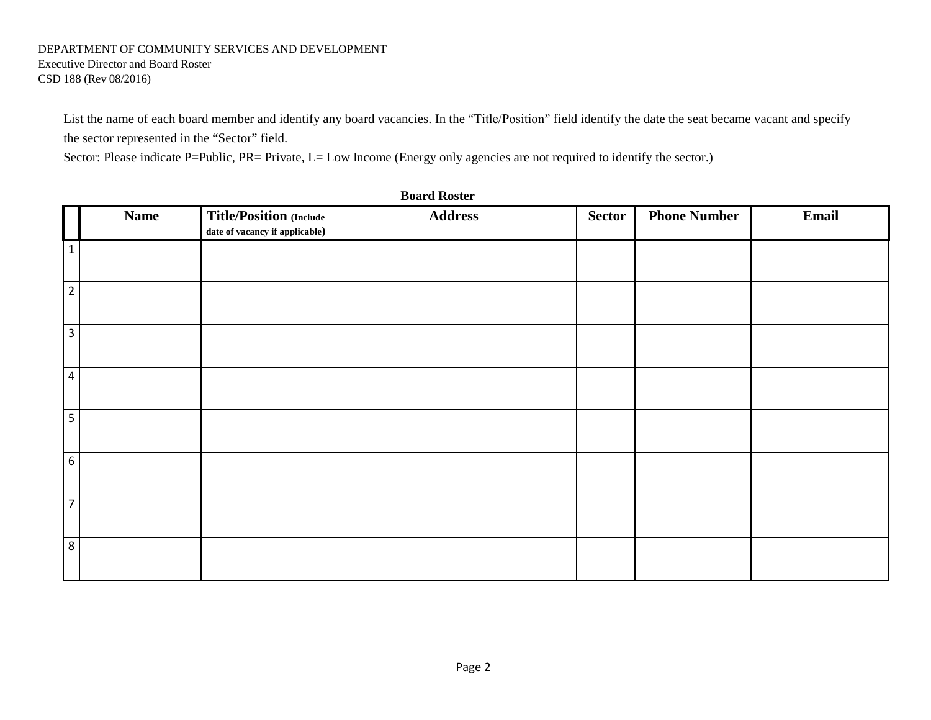# DEPARTMENT OF COMMUNITY SERVICES AND DEVELOPMENT Executive Director and Board Roster

CSD 188 (Rev 08/2016)

List the name of each board member and identify any board vacancies. In the "Title/Position" field identify the date the seat became vacant and specify the sector represented in the "Sector" field.

Sector: Please indicate P=Public, PR= Private, L= Low Income (Energy only agencies are not required to identify the sector.)

|                 | <b>Name</b> | Title/Position (Include        | <b>Address</b> | Sector | <b>Phone Number</b> | Email |
|-----------------|-------------|--------------------------------|----------------|--------|---------------------|-------|
|                 |             | date of vacancy if applicable) |                |        |                     |       |
| $\mathbf{1}$    |             |                                |                |        |                     |       |
|                 |             |                                |                |        |                     |       |
| $\overline{2}$  |             |                                |                |        |                     |       |
|                 |             |                                |                |        |                     |       |
| $\overline{3}$  |             |                                |                |        |                     |       |
|                 |             |                                |                |        |                     |       |
| $\overline{4}$  |             |                                |                |        |                     |       |
|                 |             |                                |                |        |                     |       |
| $\overline{5}$  |             |                                |                |        |                     |       |
|                 |             |                                |                |        |                     |       |
| $6\phantom{.}6$ |             |                                |                |        |                     |       |
|                 |             |                                |                |        |                     |       |
| $\overline{7}$  |             |                                |                |        |                     |       |
|                 |             |                                |                |        |                     |       |
| 8               |             |                                |                |        |                     |       |
|                 |             |                                |                |        |                     |       |
|                 |             |                                |                |        |                     |       |

**Board Roster**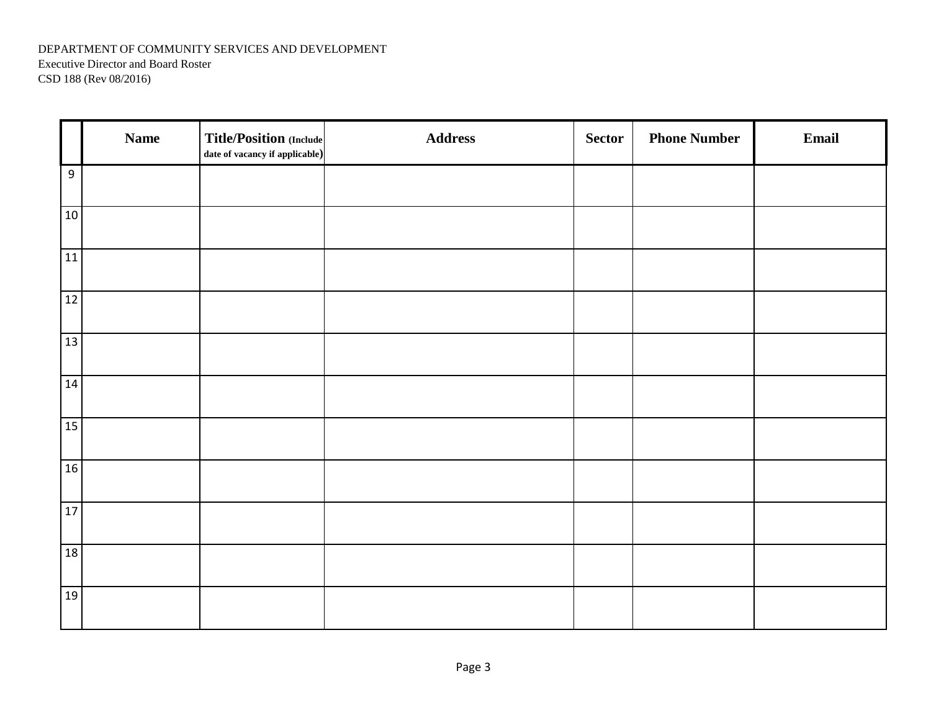### DEPARTMENT OF COMMUNITY SERVICES AND DEVELOPMENT Executive Director and Board Roster CSD 188 (Rev 08/2016)

|                  | <b>Name</b> | <b>Title/Position (Include)</b><br>date of vacancy if applicable) | <b>Address</b> | <b>Sector</b> | <b>Phone Number</b> | Email |
|------------------|-------------|-------------------------------------------------------------------|----------------|---------------|---------------------|-------|
| $\boldsymbol{9}$ |             |                                                                   |                |               |                     |       |
| $10\,$           |             |                                                                   |                |               |                     |       |
| 11               |             |                                                                   |                |               |                     |       |
| 12               |             |                                                                   |                |               |                     |       |
| 13               |             |                                                                   |                |               |                     |       |
| 14               |             |                                                                   |                |               |                     |       |
| 15               |             |                                                                   |                |               |                     |       |
| 16               |             |                                                                   |                |               |                     |       |
| 17               |             |                                                                   |                |               |                     |       |
| 18               |             |                                                                   |                |               |                     |       |
| 19               |             |                                                                   |                |               |                     |       |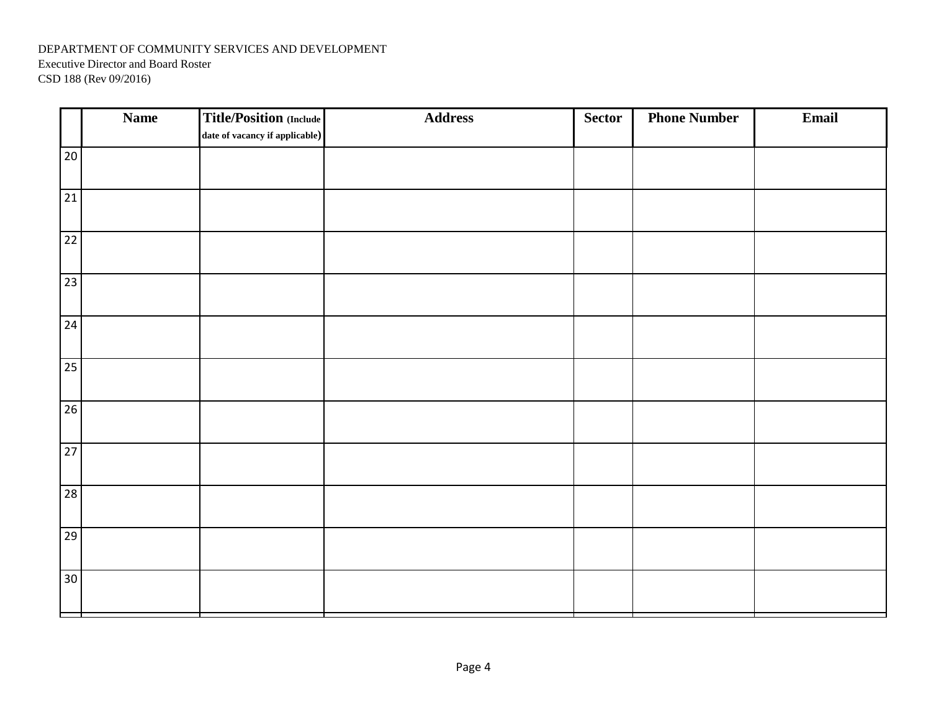### DEPARTMENT OF COMMUNITY SERVICES AND DEVELOPMENT Executive Director and Board Roster CSD 188 (Rev 09/2016)

|                 | <b>Name</b> | <b>Title/Position (Include)</b><br>date of vacancy if applicable) | <b>Address</b> | Sector | <b>Phone Number</b> | Email |
|-----------------|-------------|-------------------------------------------------------------------|----------------|--------|---------------------|-------|
| $20\,$          |             |                                                                   |                |        |                     |       |
|                 |             |                                                                   |                |        |                     |       |
| 21              |             |                                                                   |                |        |                     |       |
| 22              |             |                                                                   |                |        |                     |       |
| 23              |             |                                                                   |                |        |                     |       |
| 24              |             |                                                                   |                |        |                     |       |
| 25              |             |                                                                   |                |        |                     |       |
| 26              |             |                                                                   |                |        |                     |       |
| 27              |             |                                                                   |                |        |                     |       |
| 28              |             |                                                                   |                |        |                     |       |
| 29              |             |                                                                   |                |        |                     |       |
| 30 <sup>°</sup> |             |                                                                   |                |        |                     |       |